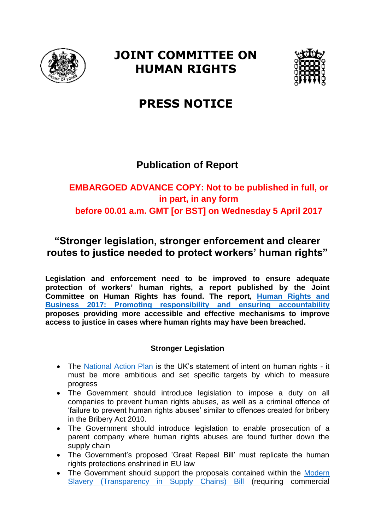

# **JOINT COMMITTEE ON HUMAN RIGHTS**



# **PRESS NOTICE**

## **Publication of Report**

## **EMBARGOED ADVANCE COPY: Not to be published in full, or in part, in any form before 00.01 a.m. GMT [or BST] on Wednesday 5 April 2017**

## **"Stronger legislation, stronger enforcement and clearer routes to justice needed to protect workers' human rights"**

**Legislation and enforcement need to be improved to ensure adequate protection of workers' human rights, a report published by the Joint Committee on Human Rights has found. The report, [Human](http://www.parliament.uk/business/committees/committees-a-z/joint-select/human-rights-committee/inquiries/parliament-2015/inquiry/) Rights and [Business](http://www.parliament.uk/business/committees/committees-a-z/joint-select/human-rights-committee/inquiries/parliament-2015/inquiry/) 2017: Promoting responsibility and ensuring accountability proposes providing more accessible and effective mechanisms to improve access to justice in cases where human rights may have been breached.**

### **Stronger Legislation**

- The [National Action Plan](https://www.gov.uk/government/publications/uk-open-government-national-action-plan-2016-18/uk-open-government-national-action-plan-2016-18) is the UK's statement of intent on human rights it must be more ambitious and set specific targets by which to measure progress
- The Government should introduce legislation to impose a duty on all companies to prevent human rights abuses, as well as a criminal offence of 'failure to prevent human rights abuses' similar to offences created for bribery in the Bribery Act 2010.
- The Government should introduce legislation to enable prosecution of a parent company where human rights abuses are found further down the supply chain
- The Government's proposed 'Great Repeal Bill' must replicate the human rights protections enshrined in EU law
- The Government should support the proposals contained within the Modern [Slavery \(Transparency in Supply Chains\) Bill](http://services.parliament.uk/bills/2016-17/modernslaverytransparencyinsupplychains.html) (requiring commercial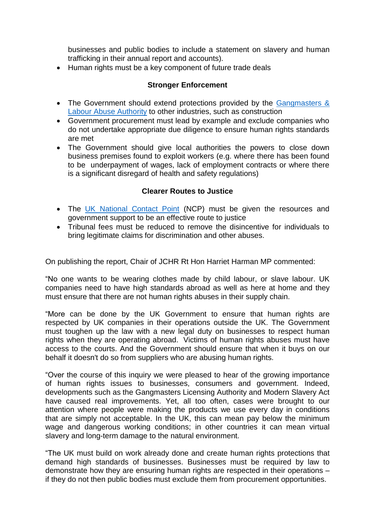businesses and public bodies to include a statement on slavery and human trafficking in their annual report and accounts).

• Human rights must be a key component of future trade deals

### **Stronger Enforcement**

- The Government should extend protections provided by the Gangmasters & [Labour Abuse Authority](http://www.gla.gov.uk/) to other industries, such as construction
- Government procurement must lead by example and exclude companies who do not undertake appropriate due diligence to ensure human rights standards are met
- The Government should give local authorities the powers to close down business premises found to exploit workers (e.g. where there has been found to be underpayment of wages, lack of employment contracts or where there is a significant disregard of health and safety regulations)

#### **Clearer Routes to Justice**

- The [UK National Contact Point](https://www.gov.uk/guidance/uk-national-contact-point-for-the-organisation-for-economic-co-operation-and-development-oecd-guidelines-for-multinational-enterprises) (NCP) must be given the resources and government support to be an effective route to justice
- Tribunal fees must be reduced to remove the disincentive for individuals to bring legitimate claims for discrimination and other abuses.

On publishing the report, Chair of JCHR Rt Hon Harriet Harman MP commented:

"No one wants to be wearing clothes made by child labour, or slave labour. UK companies need to have high standards abroad as well as here at home and they must ensure that there are not human rights abuses in their supply chain.

"More can be done by the UK Government to ensure that human rights are respected by UK companies in their operations outside the UK. The Government must toughen up the law with a new legal duty on businesses to respect human rights when they are operating abroad. Victims of human rights abuses must have access to the courts. And the Government should ensure that when it buys on our behalf it doesn't do so from suppliers who are abusing human rights.

"Over the course of this inquiry we were pleased to hear of the growing importance of human rights issues to businesses, consumers and government. Indeed, developments such as the Gangmasters Licensing Authority and Modern Slavery Act have caused real improvements. Yet, all too often, cases were brought to our attention where people were making the products we use every day in conditions that are simply not acceptable. In the UK, this can mean pay below the minimum wage and dangerous working conditions; in other countries it can mean virtual slavery and long-term damage to the natural environment.

"The UK must build on work already done and create human rights protections that demand high standards of businesses. Businesses must be required by law to demonstrate how they are ensuring human rights are respected in their operations – if they do not then public bodies must exclude them from procurement opportunities.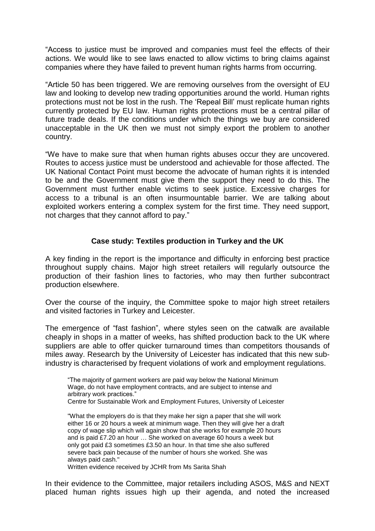"Access to justice must be improved and companies must feel the effects of their actions. We would like to see laws enacted to allow victims to bring claims against companies where they have failed to prevent human rights harms from occurring.

"Article 50 has been triggered. We are removing ourselves from the oversight of EU law and looking to develop new trading opportunities around the world. Human rights protections must not be lost in the rush. The 'Repeal Bill' must replicate human rights currently protected by EU law. Human rights protections must be a central pillar of future trade deals. If the conditions under which the things we buy are considered unacceptable in the UK then we must not simply export the problem to another country.

"We have to make sure that when human rights abuses occur they are uncovered. Routes to access justice must be understood and achievable for those affected. The UK National Contact Point must become the advocate of human rights it is intended to be and the Government must give them the support they need to do this. The Government must further enable victims to seek justice. Excessive charges for access to a tribunal is an often insurmountable barrier. We are talking about exploited workers entering a complex system for the first time. They need support, not charges that they cannot afford to pay."

### **Case study: Textiles production in Turkey and the UK**

A key finding in the report is the importance and difficulty in enforcing best practice throughout supply chains. Major high street retailers will regularly outsource the production of their fashion lines to factories, who may then further subcontract production elsewhere.

Over the course of the inquiry, the Committee spoke to major high street retailers and visited factories in Turkey and Leicester.

The emergence of "fast fashion", where styles seen on the catwalk are available cheaply in shops in a matter of weeks, has shifted production back to the UK where suppliers are able to offer quicker turnaround times than competitors thousands of miles away. Research by the University of Leicester has indicated that this new subindustry is characterised by frequent violations of work and employment regulations.

"The majority of garment workers are paid way below the National Minimum Wage, do not have employment contracts, and are subject to intense and arbitrary work practices." Centre for Sustainable Work and Employment Futures, University of Leicester

"What the employers do is that they make her sign a paper that she will work either 16 or 20 hours a week at minimum wage. Then they will give her a draft copy of wage slip which will again show that she works for example 20 hours and is paid £7.20 an hour … She worked on average 60 hours a week but only got paid £3 sometimes £3.50 an hour. In that time she also suffered severe back pain because of the number of hours she worked. She was always paid cash."

Written evidence received by JCHR from Ms Sarita Shah

In their evidence to the Committee, major retailers including ASOS, M&S and NEXT placed human rights issues high up their agenda, and noted the increased